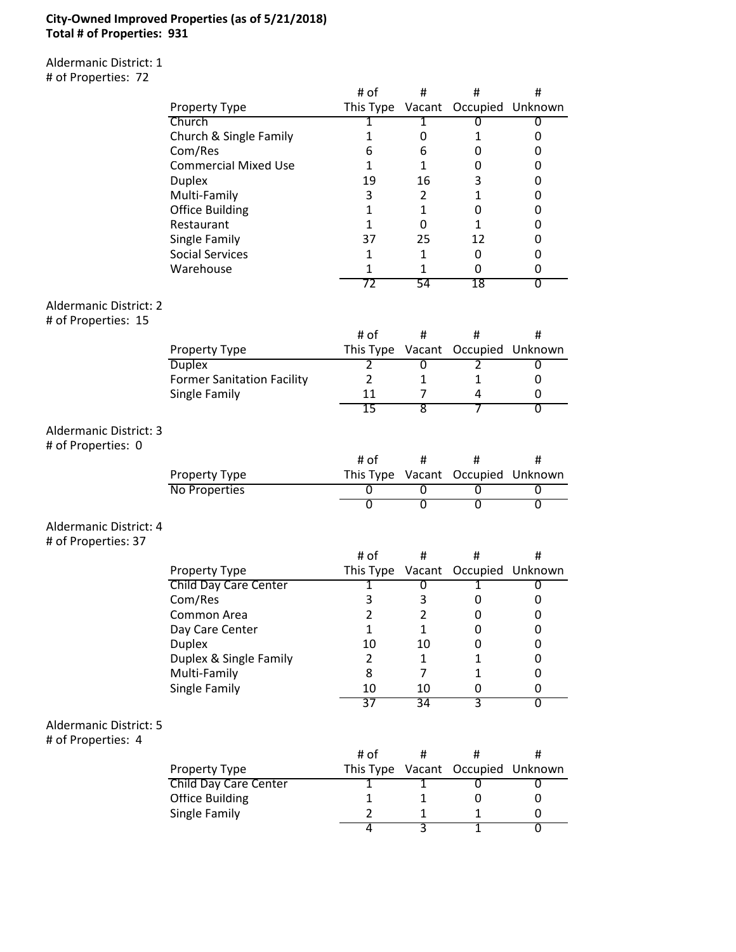### **City-Owned Improved Properties (as of 5/21/2018) Total # of Properties: 931**

Aldermanic District: 1 # of Properties: 72

| # Of Properties. 72                                  |                                   |                   | #              | #              | #                         |
|------------------------------------------------------|-----------------------------------|-------------------|----------------|----------------|---------------------------|
|                                                      |                                   | # of              |                |                | Occupied Unknown          |
|                                                      | Property Type<br>Church           | This Type Vacant  | 1              | 0              | 0                         |
|                                                      | Church & Single Family            | 1<br>$\mathbf{1}$ | 0              | 1              | 0                         |
|                                                      | Com/Res                           | 6                 | 6              |                |                           |
|                                                      | <b>Commercial Mixed Use</b>       | $\mathbf{1}$      | $\mathbf{1}$   | 0              | 0<br>0                    |
|                                                      |                                   | 19                | 16             | 0              |                           |
|                                                      | <b>Duplex</b>                     |                   |                | 3              | 0                         |
|                                                      | Multi-Family                      | 3                 | $\overline{2}$ | $\mathbf{1}$   | 0                         |
|                                                      | <b>Office Building</b>            | $\mathbf{1}$      | $\mathbf{1}$   | 0              | 0                         |
|                                                      | Restaurant                        | $\mathbf{1}$      | 0              | $\mathbf{1}$   | 0                         |
|                                                      | Single Family                     | 37                | 25             | 12             | 0                         |
|                                                      | <b>Social Services</b>            | 1                 | $\mathbf{1}$   | 0              | 0                         |
|                                                      | Warehouse                         | 1                 | $\mathbf{1}$   | 0              | 0                         |
|                                                      |                                   | 72                | 54             | 18             | 0                         |
| <b>Aldermanic District: 2</b><br># of Properties: 15 |                                   |                   |                |                |                           |
|                                                      |                                   | # of              | #              | #              | #                         |
|                                                      | Property Type                     | This Type         | Vacant         |                | Occupied Unknown          |
|                                                      | <b>Duplex</b>                     | 2                 | 0              | 2              | 0                         |
|                                                      | <b>Former Sanitation Facility</b> | $\overline{2}$    | 1              | $\mathbf{1}$   | 0                         |
|                                                      | Single Family                     | 11                | $\overline{7}$ | 4              | 0                         |
|                                                      |                                   | 15                | ह              | 7              | $\overline{0}$            |
| Aldermanic District: 3<br># of Properties: 0         |                                   |                   |                |                |                           |
|                                                      |                                   | # of              | #              | #              | #                         |
|                                                      | Property Type                     | This Type Vacant  |                |                | Occupied Unknown          |
|                                                      | No Properties                     | 0                 | 0              | 0              | 0                         |
|                                                      |                                   | $\overline{0}$    | $\overline{0}$ | $\overline{0}$ | 0                         |
| Aldermanic District: 4<br># of Properties: 37        |                                   |                   |                |                |                           |
|                                                      |                                   | # of              | #              | #              | #                         |
|                                                      | Property Type                     | This Type         | Vacant         |                | Occupied Unknown          |
|                                                      | <b>Child Day Care Center</b>      | 1                 | 0              | 1              | 0                         |
|                                                      | Com/Res                           | 3                 | 3              | 0              | 0                         |
|                                                      | Common Area                       | 2                 | $\overline{2}$ | 0              | 0                         |
|                                                      | Day Care Center                   | $\mathbf{1}$      | $\mathbf{1}$   | 0              | 0                         |
|                                                      | <b>Duplex</b>                     | 10                | 10             | 0              | 0                         |
|                                                      | Duplex & Single Family            | $\overline{2}$    | $\mathbf{1}$   | 1              | 0                         |
|                                                      | Multi-Family                      | 8                 | $\overline{7}$ | $\mathbf{1}$   | 0                         |
|                                                      | Single Family                     | 10                | 10             | 0              | 0                         |
|                                                      |                                   | 37                | 34             | $\overline{3}$ | $\overline{\mathfrak{o}}$ |
| Aldermanic District: 5<br># of Properties: 4         |                                   |                   |                |                |                           |
|                                                      |                                   | # of              | #              | #              | #                         |
|                                                      | Property Type                     | This Type         | Vacant         | Occupied       | Unknown                   |
|                                                      | <b>Child Day Care Center</b>      | 1                 | 1              | 0              | 0                         |
|                                                      | <b>Office Building</b>            | $\mathbf{1}$      | $\mathbf 1$    | 0              | 0                         |
|                                                      | Single Family                     | $\overline{2}$    | $\mathbf{1}$   | 1              | 0                         |
|                                                      |                                   | 4                 | 3              | 1              | 0                         |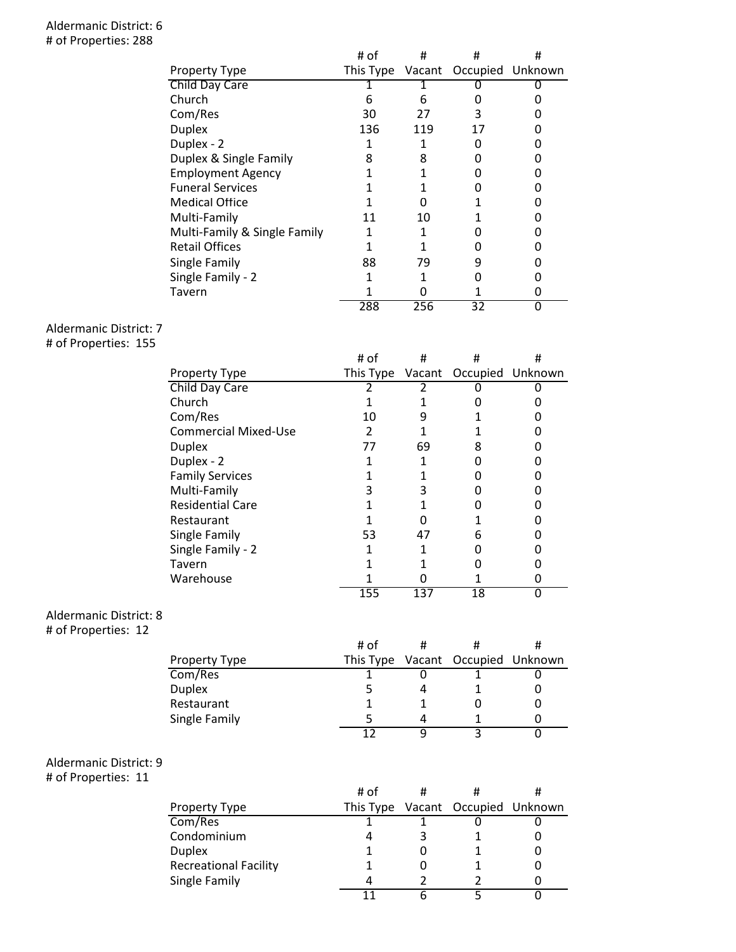#### Aldermanic District: 6 # of Properties: 288

|                              | # of | #   | #                                 | # |
|------------------------------|------|-----|-----------------------------------|---|
| Property Type                |      |     | This Type Vacant Occupied Unknown |   |
| Child Day Care               |      |     |                                   |   |
| Church                       | 6    | 6   |                                   |   |
| Com/Res                      | 30   | 27  | 3                                 |   |
| <b>Duplex</b>                | 136  | 119 | 17                                |   |
| Duplex - 2                   |      |     |                                   |   |
| Duplex & Single Family       | 8    | 8   |                                   |   |
| <b>Employment Agency</b>     |      |     |                                   |   |
| <b>Funeral Services</b>      |      |     |                                   |   |
| <b>Medical Office</b>        |      | 0   |                                   |   |
| Multi-Family                 | 11   | 10  |                                   |   |
| Multi-Family & Single Family |      |     |                                   |   |
| <b>Retail Offices</b>        |      |     |                                   |   |
| Single Family                | 88   | 79  | 9                                 |   |
| Single Family - 2            |      |     | 0                                 |   |
| Tavern                       |      |     |                                   |   |
|                              | 288  | 256 | 32                                |   |

## Aldermanic District: 7

# of Properties: 155

|                             | # of      | #      | #  | #                |
|-----------------------------|-----------|--------|----|------------------|
| <b>Property Type</b>        | This Type | Vacant |    | Occupied Unknown |
| Child Day Care              |           |        |    |                  |
| Church                      |           |        |    |                  |
| Com/Res                     | 10        |        |    |                  |
| <b>Commercial Mixed-Use</b> | 2         |        |    |                  |
| <b>Duplex</b>               | 77        | 69     | 8  |                  |
| Duplex - 2                  |           |        |    |                  |
| <b>Family Services</b>      |           |        |    |                  |
| Multi-Family                | 3         | 3      |    |                  |
| <b>Residential Care</b>     |           |        |    |                  |
| Restaurant                  |           |        |    |                  |
| Single Family               | 53        | 47     | 6  |                  |
| Single Family - 2           |           |        |    |                  |
| Tavern                      |           |        |    |                  |
| Warehouse                   |           |        |    | O                |
|                             | 155       | 137    | 18 | ŋ                |

# Aldermanic District: 8

# of Properties: 12

|               | # of |                                   |  |
|---------------|------|-----------------------------------|--|
| Property Type |      | This Type Vacant Occupied Unknown |  |
| Com/Res       |      |                                   |  |
| <b>Duplex</b> |      |                                   |  |
| Restaurant    |      |                                   |  |
| Single Family |      |                                   |  |
|               |      |                                   |  |

### Aldermanic District: 9

# of Properties: 11

|                              | # of |                                   |  |
|------------------------------|------|-----------------------------------|--|
| Property Type                |      | This Type Vacant Occupied Unknown |  |
| Com/Res                      |      |                                   |  |
| Condominium                  |      |                                   |  |
| Duplex                       |      |                                   |  |
| <b>Recreational Facility</b> |      |                                   |  |
| Single Family                |      |                                   |  |
|                              |      |                                   |  |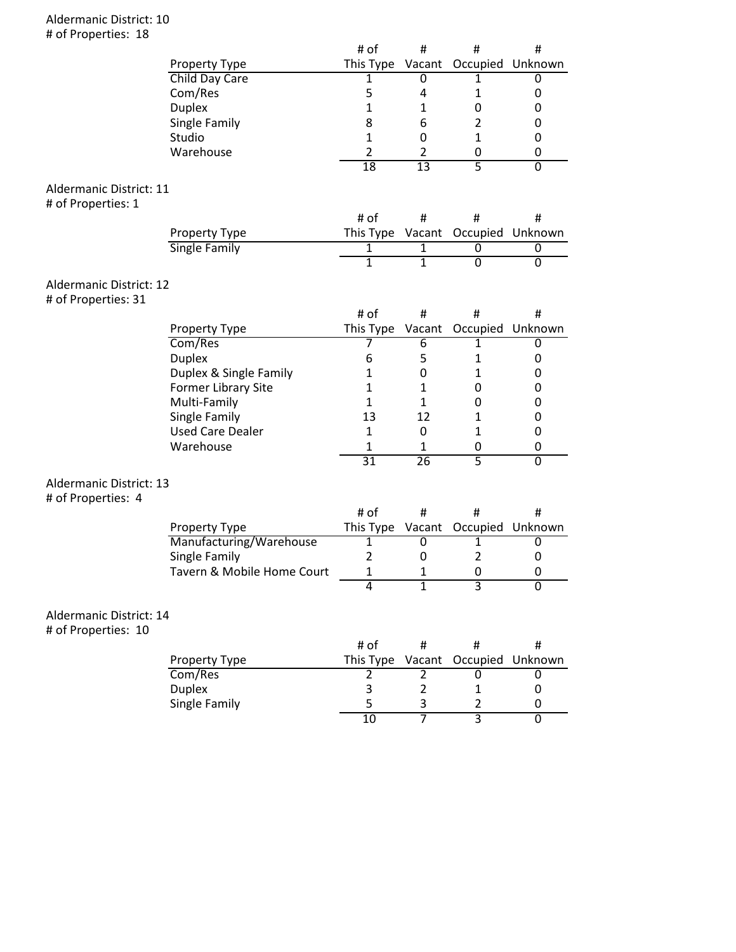### Aldermanic District: 10 # of Properties: 18

|                                                       |                            | # of             | #                   | #                                 | #              |
|-------------------------------------------------------|----------------------------|------------------|---------------------|-----------------------------------|----------------|
|                                                       | Property Type              |                  |                     | This Type Vacant Occupied         | Unknown        |
|                                                       | Child Day Care             | 1                | 0                   | 1                                 | 0              |
|                                                       | Com/Res                    | 5                | 4                   | 1                                 | 0              |
|                                                       | <b>Duplex</b>              | 1                | 1                   | 0                                 | 0              |
|                                                       | Single Family              | 8                | 6                   | $\overline{2}$                    | 0              |
|                                                       | Studio                     | $\mathbf{1}$     | 0                   | $\mathbf{1}$                      | 0              |
|                                                       | Warehouse                  | $\overline{2}$   | $\overline{2}$      | 0                                 | 0              |
|                                                       |                            | 18               | $\overline{13}$     | $\overline{5}$                    | $\overline{0}$ |
| Aldermanic District: 11<br># of Properties: 1         |                            |                  |                     |                                   |                |
|                                                       |                            | # of             | #                   | #                                 | #              |
|                                                       | Property Type              |                  |                     | This Type Vacant Occupied Unknown |                |
|                                                       | <b>Single Family</b>       | 1                | 1                   | 0                                 | 0              |
|                                                       |                            | $\overline{1}$   | $\overline{1}$      | $\overline{0}$                    | $\overline{0}$ |
| <b>Aldermanic District: 12</b><br># of Properties: 31 |                            |                  |                     |                                   |                |
|                                                       |                            | # of             | #                   | #                                 | #              |
|                                                       | Property Type              | This Type        | Vacant              | Occupied                          | Unknown        |
|                                                       | Com/Res                    | 7                | 6                   | $\mathbf{1}$                      | $\overline{0}$ |
|                                                       | <b>Duplex</b>              | 6                | 5                   | 1                                 | 0              |
|                                                       | Duplex & Single Family     | 1                | 0                   | 1                                 | 0              |
|                                                       | Former Library Site        | 1                | 1                   | 0                                 | 0              |
|                                                       | Multi-Family               | 1                | $\mathbf{1}$        | 0                                 | 0              |
|                                                       | Single Family              | 13               | 12                  | 1                                 | 0              |
|                                                       | <b>Used Care Dealer</b>    | 1                | 0                   | $\mathbf 1$                       | 0              |
|                                                       |                            |                  |                     |                                   |                |
|                                                       | Warehouse                  | 1                | 1                   | 0                                 | 0              |
|                                                       |                            | $\overline{31}$  | $\overline{26}$     | $\overline{5}$                    | $\overline{0}$ |
| <b>Aldermanic District: 13</b><br># of Properties: 4  |                            |                  |                     |                                   |                |
|                                                       |                            | # of             | #                   | $\sharp$                          | #              |
|                                                       | Property Type              | This Type Vacant |                     | Occupied                          | Unknown        |
|                                                       | Manufacturing/Warehouse    | 1                | $\overline{0}$      | 1                                 | 0              |
|                                                       | Single Family              | 2                | 0                   | $\overline{c}$                    | 0              |
|                                                       | Tavern & Mobile Home Court | 1                | 1                   | 0                                 | 0              |
|                                                       |                            | 4                | 1                   | 3                                 | U              |
| Aldermanic District: 14<br># of Properties: 10        |                            |                  |                     |                                   |                |
|                                                       |                            | # of             | #                   | #                                 | #              |
|                                                       | Property Type              | This Type        | Vacant              | Occupied                          | Unknown        |
|                                                       | Com/Res                    | $\overline{2}$   | $\overline{2}$      | 0                                 | 0              |
|                                                       | <b>Duplex</b>              | 3                | $\overline{2}$      | 1                                 | 0              |
|                                                       | Single Family              | 5                | 3<br>$\overline{7}$ | $\overline{2}$                    | 0              |
|                                                       |                            | 10               |                     | $\overline{3}$                    | $\overline{0}$ |
|                                                       |                            |                  |                     |                                   |                |